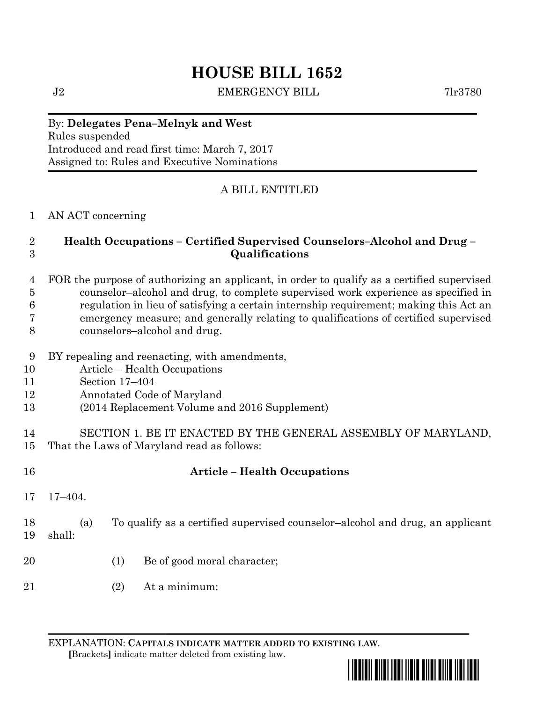# **HOUSE BILL 1652**

J2 EMERGENCY BILL 7lr3780

#### By: **Delegates Pena–Melnyk and West** Rules suspended Introduced and read first time: March 7, 2017 Assigned to: Rules and Executive Nominations

## A BILL ENTITLED

### AN ACT concerning

## **Health Occupations – Certified Supervised Counselors–Alcohol and Drug – Qualifications**

- FOR the purpose of authorizing an applicant, in order to qualify as a certified supervised counselor–alcohol and drug, to complete supervised work experience as specified in regulation in lieu of satisfying a certain internship requirement; making this Act an emergency measure; and generally relating to qualifications of certified supervised counselors–alcohol and drug.
- BY repealing and reenacting, with amendments,
- Article Health Occupations
- Section 17–404
- Annotated Code of Maryland
- (2014 Replacement Volume and 2016 Supplement)
- SECTION 1. BE IT ENACTED BY THE GENERAL ASSEMBLY OF MARYLAND, That the Laws of Maryland read as follows:
- 

## **Article – Health Occupations**

- 17–404.
- (a) To qualify as a certified supervised counselor–alcohol and drug, an applicant shall:
- (1) Be of good moral character;
- (2) At a minimum:

EXPLANATION: **CAPITALS INDICATE MATTER ADDED TO EXISTING LAW**.  **[**Brackets**]** indicate matter deleted from existing law.

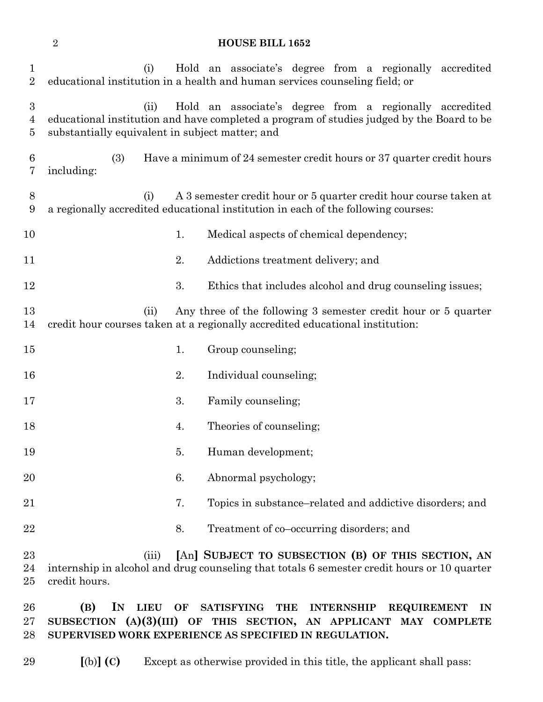### **HOUSE BILL 1652**

| 1<br>$\overline{2}$                     | Hold an associate's degree from a regionally accredited<br>(i)<br>educational institution in a health and human services counseling field; or                                                                   |
|-----------------------------------------|-----------------------------------------------------------------------------------------------------------------------------------------------------------------------------------------------------------------|
| $\boldsymbol{3}$<br>$\overline{4}$<br>5 | Hold an associate's degree from a regionally accredited<br>(ii)<br>educational institution and have completed a program of studies judged by the Board to be<br>substantially equivalent in subject matter; and |
| 6<br>7                                  | (3)<br>Have a minimum of 24 semester credit hours or 37 quarter credit hours<br>including:                                                                                                                      |
| 8<br>9                                  | A 3 semester credit hour or 5 quarter credit hour course taken at<br>(i)<br>a regionally accredited educational institution in each of the following courses:                                                   |
| 10                                      | Medical aspects of chemical dependency;<br>1.                                                                                                                                                                   |
| 11                                      | 2.<br>Addictions treatment delivery; and                                                                                                                                                                        |
| 12                                      | 3.<br>Ethics that includes alcohol and drug counseling issues;                                                                                                                                                  |
| 13<br>14                                | Any three of the following 3 semester credit hour or 5 quarter<br>(ii)<br>credit hour courses taken at a regionally accredited educational institution:                                                         |
| 15                                      | 1.<br>Group counseling;                                                                                                                                                                                         |
| 16                                      | Individual counseling;<br>2.                                                                                                                                                                                    |
| 17                                      | 3.<br>Family counseling;                                                                                                                                                                                        |
| 18                                      | 4.<br>Theories of counseling;                                                                                                                                                                                   |
| 19                                      | Human development;<br>5.                                                                                                                                                                                        |
| 20                                      | Abnormal psychology;<br>6.                                                                                                                                                                                      |
| 21                                      | 7.<br>Topics in substance–related and addictive disorders; and                                                                                                                                                  |
| 22                                      | 8.<br>Treatment of co-occurring disorders; and                                                                                                                                                                  |
| 23<br>24<br>25                          | [An] SUBJECT TO SUBSECTION (B) OF THIS SECTION, AN<br>(iii)<br>internship in alcohol and drug counseling that totals 6 semester credit hours or 10 quarter<br>credit hours.                                     |
| 26<br>$27\,$                            | IN<br>(B)<br><b>LIEU</b><br>OF<br><b>SATISFYING</b><br><b>THE</b><br><b>INTERNSHIP</b><br><b>REQUIREMENT</b><br>$_{\rm IN}$<br>SUBSECTION $(A)(3)(III)$ OF THIS SECTION, AN APPLICANT MAY COMPLETE              |

**SUPERVISED WORK EXPERIENCE AS SPECIFIED IN REGULATION.**

**[**(b)**] (C)** Except as otherwise provided in this title, the applicant shall pass: